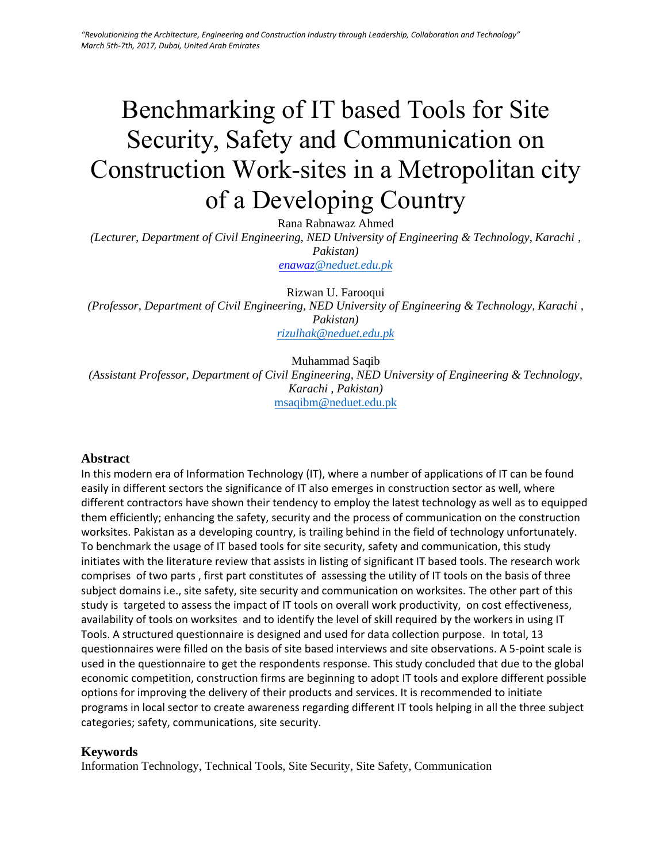# Benchmarking of IT based Tools for Site Security, Safety and Communication on Construction Work-sites in a Metropolitan city of a Developing Country

Rana Rabnawaz Ahmed

*(Lecturer, Department of Civil Engineering, NED University of Engineering & Technology, Karachi , Pakistan) enawa[z@neduet.edu.pk](mailto:rizulhak@neduet.edu.pk)*

Rizwan U. Farooqui *(Professor, Department of Civil Engineering, NED University of Engineering & Technology, Karachi , Pakistan) [rizulhak@neduet.edu.pk](mailto:rizulhak@neduet.edu.pk)*

Muhammad Saqib *(Assistant Professor, Department of Civil Engineering, NED University of Engineering & Technology, Karachi , Pakistan)*  msaqibm@neduet.edu.pk

#### **Abstract**

In this modern era of Information Technology (IT), where a number of applications of IT can be found easily in different sectors the significance of IT also emerges in construction sector as well, where different contractors have shown their tendency to employ the latest technology as well as to equipped them efficiently; enhancing the safety, security and the process of communication on the construction worksites. Pakistan as a developing country, is trailing behind in the field of technology unfortunately. To benchmark the usage of IT based tools for site security, safety and communication, this study initiates with the literature review that assists in listing of significant IT based tools. The research work comprises of two parts , first part constitutes of assessing the utility of IT tools on the basis of three subject domains i.e., site safety, site security and communication on worksites. The other part of this study is targeted to assess the impact of IT tools on overall work productivity, on cost effectiveness, availability of tools on worksites and to identify the level of skill required by the workers in using IT Tools. A structured questionnaire is designed and used for data collection purpose. In total, 13 questionnaires were filled on the basis of site based interviews and site observations. A 5-point scale is used in the questionnaire to get the respondents response. This study concluded that due to the global economic competition, construction firms are beginning to adopt IT tools and explore different possible options for improving the delivery of their products and services. It is recommended to initiate programs in local sector to create awareness regarding different IT tools helping in all the three subject categories; safety, communications, site security.

#### **Keywords**

Information Technology, Technical Tools, Site Security, Site Safety, Communication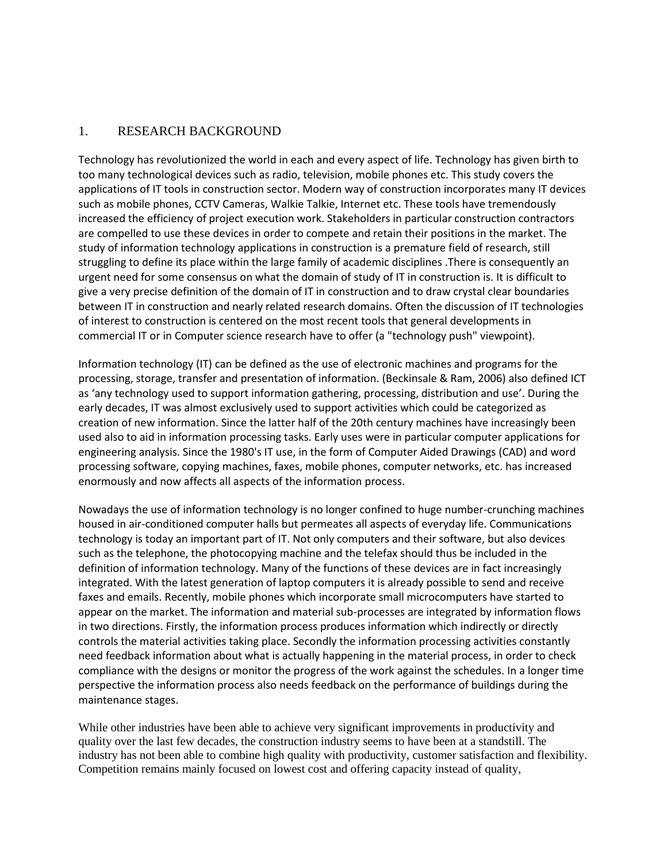## 1. RESEARCH BACKGROUND

Technology has revolutionized the world in each and every aspect of life. Technology has given birth to too many technological devices such as radio, television, mobile phones etc. This study covers the applications of IT tools in construction sector. Modern way of construction incorporates many IT devices such as mobile phones, CCTV Cameras, Walkie Talkie, Internet etc. These tools have tremendously increased the efficiency of project execution work. Stakeholders in particular construction contractors are compelled to use these devices in order to compete and retain their positions in the market. The study of information technology applications in construction is a premature field of research, still struggling to define its place within the large family of academic disciplines .There is consequently an urgent need for some consensus on what the domain of study of IT in construction is. It is difficult to give a very precise definition of the domain of IT in construction and to draw crystal clear boundaries between IT in construction and nearly related research domains. Often the discussion of IT technologies of interest to construction is centered on the most recent tools that general developments in commercial IT or in Computer science research have to offer (a "technology push" viewpoint).

Information technology (IT) can be defined as the use of electronic machines and programs for the processing, storage, transfer and presentation of information. (Beckinsale & Ram, 2006) also defined ICT as 'any technology used to support information gathering, processing, distribution and use'. During the early decades, IT was almost exclusively used to support activities which could be categorized as creation of new information. Since the latter half of the 20th century machines have increasingly been used also to aid in information processing tasks. Early uses were in particular computer applications for engineering analysis. Since the 1980's IT use, in the form of Computer Aided Drawings (CAD) and word processing software, copying machines, faxes, mobile phones, computer networks, etc. has increased enormously and now affects all aspects of the information process.

Nowadays the use of information technology is no longer confined to huge number-crunching machines housed in air-conditioned computer halls but permeates all aspects of everyday life. Communications technology is today an important part of IT. Not only computers and their software, but also devices such as the telephone, the photocopying machine and the telefax should thus be included in the definition of information technology. Many of the functions of these devices are in fact increasingly integrated. With the latest generation of laptop computers it is already possible to send and receive faxes and emails. Recently, mobile phones which incorporate small microcomputers have started to appear on the market. The information and material sub-processes are integrated by information flows in two directions. Firstly, the information process produces information which indirectly or directly controls the material activities taking place. Secondly the information processing activities constantly need feedback information about what is actually happening in the material process, in order to check compliance with the designs or monitor the progress of the work against the schedules. In a longer time perspective the information process also needs feedback on the performance of buildings during the maintenance stages.

While other industries have been able to achieve very significant improvements in productivity and quality over the last few decades, the construction industry seems to have been at a standstill. The industry has not been able to combine high quality with productivity, customer satisfaction and flexibility. Competition remains mainly focused on lowest cost and offering capacity instead of quality,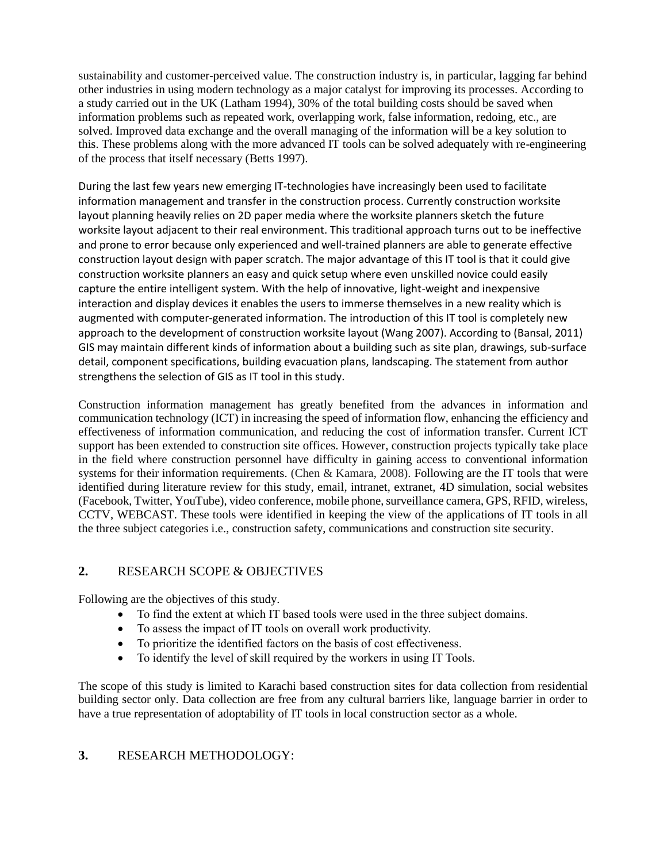sustainability and customer-perceived value. The construction industry is, in particular, lagging far behind other industries in using modern technology as a major catalyst for improving its processes. According to a study carried out in the UK (Latham 1994), 30% of the total building costs should be saved when information problems such as repeated work, overlapping work, false information, redoing, etc., are solved. Improved data exchange and the overall managing of the information will be a key solution to this. These problems along with the more advanced IT tools can be solved adequately with re-engineering of the process that itself necessary (Betts 1997).

During the last few years new emerging IT-technologies have increasingly been used to facilitate information management and transfer in the construction process. Currently construction worksite layout planning heavily relies on 2D paper media where the worksite planners sketch the future worksite layout adjacent to their real environment. This traditional approach turns out to be ineffective and prone to error because only experienced and well-trained planners are able to generate effective construction layout design with paper scratch. The major advantage of this IT tool is that it could give construction worksite planners an easy and quick setup where even unskilled novice could easily capture the entire intelligent system. With the help of innovative, light-weight and inexpensive interaction and display devices it enables the users to immerse themselves in a new reality which is augmented with computer-generated information. The introduction of this IT tool is completely new approach to the development of construction worksite layout (Wang 2007). According to (Bansal, 2011) GIS may maintain different kinds of information about a building such as site plan, drawings, sub-surface detail, component specifications, building evacuation plans, landscaping. The statement from author strengthens the selection of GIS as IT tool in this study.

Construction information management has greatly benefited from the advances in information and communication technology (ICT) in increasing the speed of information flow, enhancing the efficiency and effectiveness of information communication, and reducing the cost of information transfer. Current ICT support has been extended to construction site offices. However, construction projects typically take place in the field where construction personnel have difficulty in gaining access to conventional information systems for their information requirements. (Chen & Kamara, 2008). Following are the IT tools that were identified during literature review for this study, email, intranet, extranet, 4D simulation, social websites (Facebook, Twitter, YouTube), video conference, mobile phone, surveillance camera, GPS, RFID, wireless, CCTV, WEBCAST. These tools were identified in keeping the view of the applications of IT tools in all the three subject categories i.e., construction safety, communications and construction site security.

# **2.** RESEARCH SCOPE & OBJECTIVES

Following are the objectives of this study.

- To find the extent at which IT based tools were used in the three subject domains.
- To assess the impact of IT tools on overall work productivity.
- To prioritize the identified factors on the basis of cost effectiveness.
- To identify the level of skill required by the workers in using IT Tools.

The scope of this study is limited to Karachi based construction sites for data collection from residential building sector only. Data collection are free from any cultural barriers like, language barrier in order to have a true representation of adoptability of IT tools in local construction sector as a whole.

### **3.** RESEARCH METHODOLOGY: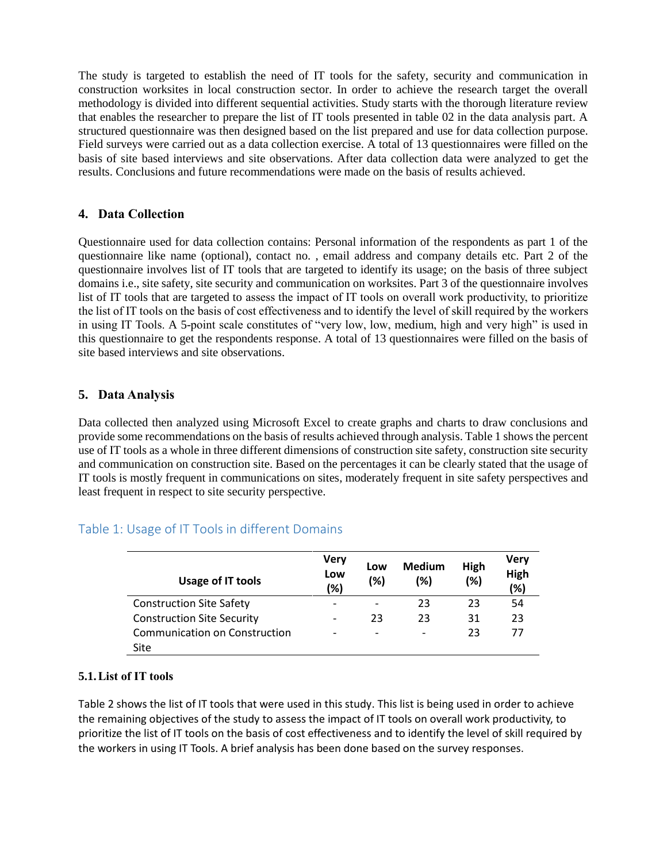The study is targeted to establish the need of IT tools for the safety, security and communication in construction worksites in local construction sector. In order to achieve the research target the overall methodology is divided into different sequential activities. Study starts with the thorough literature review that enables the researcher to prepare the list of IT tools presented in table 02 in the data analysis part. A structured questionnaire was then designed based on the list prepared and use for data collection purpose. Field surveys were carried out as a data collection exercise. A total of 13 questionnaires were filled on the basis of site based interviews and site observations. After data collection data were analyzed to get the results. Conclusions and future recommendations were made on the basis of results achieved.

## **4. Data Collection**

Questionnaire used for data collection contains: Personal information of the respondents as part 1 of the questionnaire like name (optional), contact no. , email address and company details etc. Part 2 of the questionnaire involves list of IT tools that are targeted to identify its usage; on the basis of three subject domains i.e., site safety, site security and communication on worksites. Part 3 of the questionnaire involves list of IT tools that are targeted to assess the impact of IT tools on overall work productivity, to prioritize the list of IT tools on the basis of cost effectiveness and to identify the level of skill required by the workers in using IT Tools. A 5-point scale constitutes of "very low, low, medium, high and very high" is used in this questionnaire to get the respondents response. A total of 13 questionnaires were filled on the basis of site based interviews and site observations.

# **5. Data Analysis**

Data collected then analyzed using Microsoft Excel to create graphs and charts to draw conclusions and provide some recommendations on the basis of results achieved through analysis. Table 1 shows the percent use of IT tools as a whole in three different dimensions of construction site safety, construction site security and communication on construction site. Based on the percentages it can be clearly stated that the usage of IT tools is mostly frequent in communications on sites, moderately frequent in site safety perspectives and least frequent in respect to site security perspective.

# Table 1: Usage of IT Tools in different Domains

| Usage of IT tools                 | <b>Very</b><br>Low<br>(%) | Low<br>(%)               | <b>Medium</b><br>(%) | High<br>(%) | Verv<br>High<br>(%) |
|-----------------------------------|---------------------------|--------------------------|----------------------|-------------|---------------------|
| <b>Construction Site Safety</b>   |                           |                          | 23                   | 23          | 54                  |
| <b>Construction Site Security</b> | $\overline{\phantom{a}}$  | 23                       | 23                   | 31          | 23                  |
| Communication on Construction     |                           | $\overline{\phantom{0}}$ |                      | 23          | 77                  |
| Site                              |                           |                          |                      |             |                     |

### **5.1.List of IT tools**

Table 2 shows the list of IT tools that were used in this study. This list is being used in order to achieve the remaining objectives of the study to assess the impact of IT tools on overall work productivity, to prioritize the list of IT tools on the basis of cost effectiveness and to identify the level of skill required by the workers in using IT Tools. A brief analysis has been done based on the survey responses.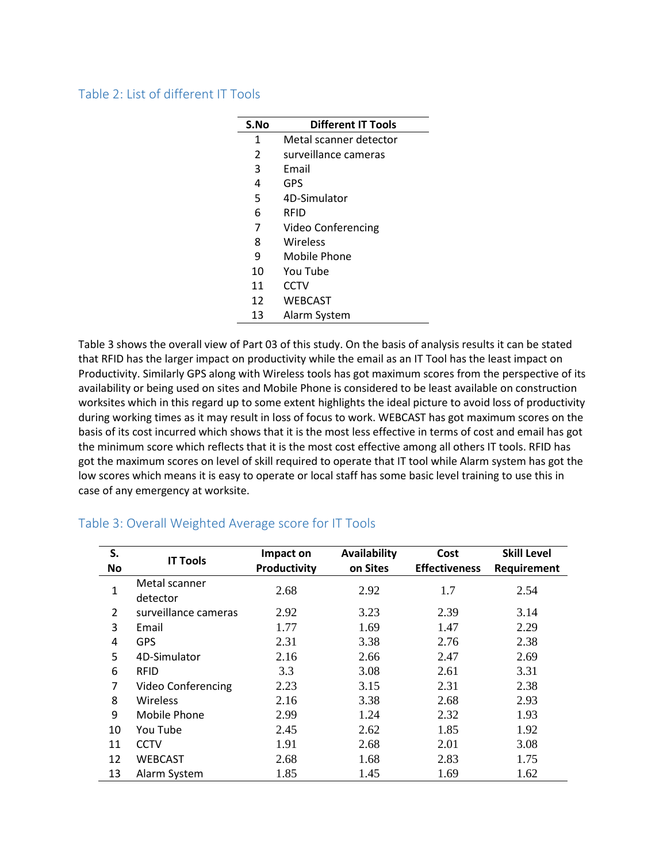### Table 2: List of different IT Tools

| S.No | <b>Different IT Tools</b> |
|------|---------------------------|
| 1    | Metal scanner detector    |
| 2    | surveillance cameras      |
| 3    | Fmail                     |
| 4    | GPS                       |
| 5    | 4D-Simulator              |
| 6    | RFID                      |
| 7    | Video Conferencing        |
| 8    | Wireless                  |
| 9    | Mobile Phone              |
| 10   | You Tube                  |
| 11   | CCTV                      |
| 12   | <b>WEBCAST</b>            |
| 13   | Alarm System              |

Table 3 shows the overall view of Part 03 of this study. On the basis of analysis results it can be stated that RFID has the larger impact on productivity while the email as an IT Tool has the least impact on Productivity. Similarly GPS along with Wireless tools has got maximum scores from the perspective of its availability or being used on sites and Mobile Phone is considered to be least available on construction worksites which in this regard up to some extent highlights the ideal picture to avoid loss of productivity during working times as it may result in loss of focus to work. WEBCAST has got maximum scores on the basis of its cost incurred which shows that it is the most less effective in terms of cost and email has got the minimum score which reflects that it is the most cost effective among all others IT tools. RFID has got the maximum scores on level of skill required to operate that IT tool while Alarm system has got the low scores which means it is easy to operate or local staff has some basic level training to use this in case of any emergency at worksite.

| S.<br><b>No</b> | <b>IT Tools</b>           | Impact on<br>Productivity | Availability<br>on Sites | Cost<br><b>Effectiveness</b> | <b>Skill Level</b><br>Requirement |
|-----------------|---------------------------|---------------------------|--------------------------|------------------------------|-----------------------------------|
| $\mathbf{1}$    | Metal scanner<br>detector | 2.68                      | 2.92                     | 1.7                          | 2.54                              |
| 2               | surveillance cameras      | 2.92                      | 3.23                     | 2.39                         | 3.14                              |
| 3               | Email                     | 1.77                      | 1.69                     | 1.47                         | 2.29                              |
| 4               | <b>GPS</b>                | 2.31                      | 3.38                     | 2.76                         | 2.38                              |
| 5               | 4D-Simulator              | 2.16                      | 2.66                     | 2.47                         | 2.69                              |
| 6               | <b>RFID</b>               | 3.3                       | 3.08                     | 2.61                         | 3.31                              |
| 7               | <b>Video Conferencing</b> | 2.23                      | 3.15                     | 2.31                         | 2.38                              |
| 8               | Wireless                  | 2.16                      | 3.38                     | 2.68                         | 2.93                              |
| 9               | Mobile Phone              | 2.99                      | 1.24                     | 2.32                         | 1.93                              |
| 10              | You Tube                  | 2.45                      | 2.62                     | 1.85                         | 1.92                              |
| 11              | <b>CCTV</b>               | 1.91                      | 2.68                     | 2.01                         | 3.08                              |
| 12              | <b>WEBCAST</b>            | 2.68                      | 1.68                     | 2.83                         | 1.75                              |
| 13              | Alarm System              | 1.85                      | 1.45                     | 1.69                         | 1.62                              |

# Table 3: Overall Weighted Average score for IT Tools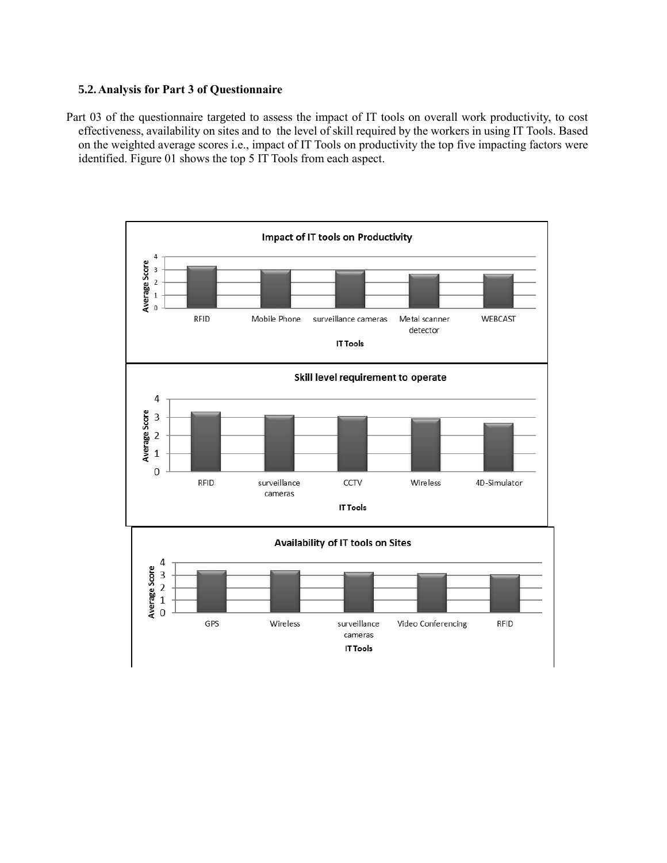#### **5.2.Analysis for Part 3 of Questionnaire**

Part 03 of the questionnaire targeted to assess the impact of IT tools on overall work productivity, to cost effectiveness, availability on sites and to the level of skill required by the workers in using IT Tools. Based on the weighted average scores i.e., impact of IT Tools on productivity the top five impacting factors were identified. Figure 01 shows the top 5 IT Tools from each aspect.

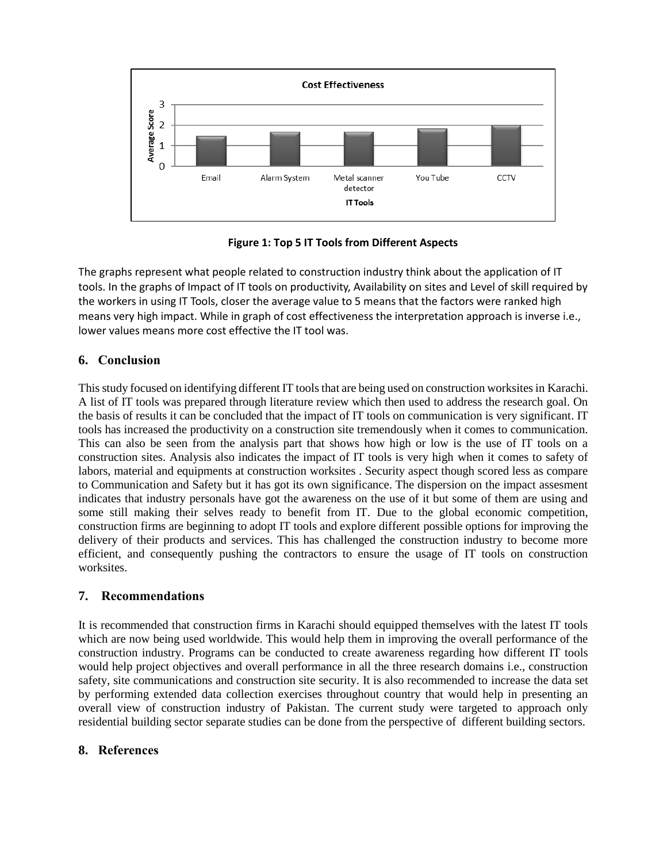

**Figure 1: Top 5 IT Tools from Different Aspects**

The graphs represent what people related to construction industry think about the application of IT tools. In the graphs of Impact of IT tools on productivity, Availability on sites and Level of skill required by the workers in using IT Tools, closer the average value to 5 means that the factors were ranked high means very high impact. While in graph of cost effectiveness the interpretation approach is inverse i.e., lower values means more cost effective the IT tool was.

# **6. Conclusion**

This study focused on identifying different IT tools that are being used on construction worksites in Karachi. A list of IT tools was prepared through literature review which then used to address the research goal. On the basis of results it can be concluded that the impact of IT tools on communication is very significant. IT tools has increased the productivity on a construction site tremendously when it comes to communication. This can also be seen from the analysis part that shows how high or low is the use of IT tools on a construction sites. Analysis also indicates the impact of IT tools is very high when it comes to safety of labors, material and equipments at construction worksites . Security aspect though scored less as compare to Communication and Safety but it has got its own significance. The dispersion on the impact assesment indicates that industry personals have got the awareness on the use of it but some of them are using and some still making their selves ready to benefit from IT. Due to the global economic competition, construction firms are beginning to adopt IT tools and explore different possible options for improving the delivery of their products and services. This has challenged the construction industry to become more efficient, and consequently pushing the contractors to ensure the usage of IT tools on construction worksites.

### **7. Recommendations**

It is recommended that construction firms in Karachi should equipped themselves with the latest IT tools which are now being used worldwide. This would help them in improving the overall performance of the construction industry. Programs can be conducted to create awareness regarding how different IT tools would help project objectives and overall performance in all the three research domains i.e., construction safety, site communications and construction site security. It is also recommended to increase the data set by performing extended data collection exercises throughout country that would help in presenting an overall view of construction industry of Pakistan. The current study were targeted to approach only residential building sector separate studies can be done from the perspective of different building sectors.

### **8. References**